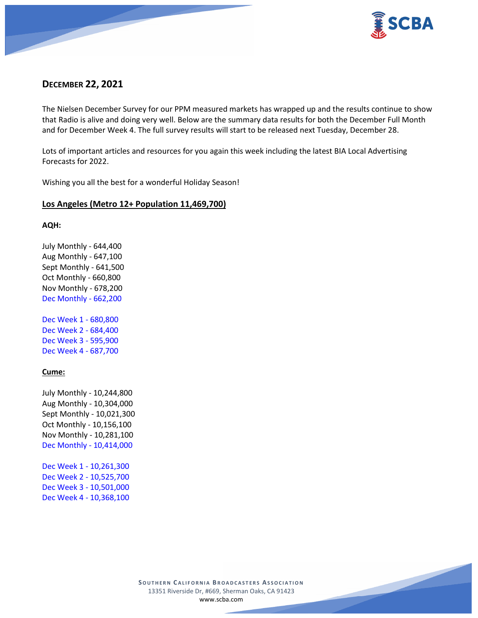

# **DECEMBER 22, 2021**

The Nielsen December Survey for our PPM measured markets has wrapped up and the results continue to show that Radio is alive and doing very well. Below are the summary data results for both the December Full Month and for December Week 4. The full survey results will start to be released next Tuesday, December 28.

Lots of important articles and resources for you again this week including the latest BIA Local Advertising Forecasts for 2022.

Wishing you all the best for a wonderful Holiday Season!

# **Los Angeles (Metro 12+ Population 11,469,700)**

#### **AQH:**

July Monthly - 644,400 Aug Monthly - 647,100 Sept Monthly - 641,500 Oct Monthly - 660,800 Nov Monthly - 678,200 Dec Monthly - 662,200

Dec Week 1 - 680,800 Dec Week 2 - 684,400 Dec Week 3 - 595,900 Dec Week 4 - 687,700

# **Cume:**

July Monthly - 10,244,800 Aug Monthly - 10,304,000 Sept Monthly - 10,021,300 Oct Monthly - 10,156,100 Nov Monthly - 10,281,100 Dec Monthly - 10,414,000

Dec Week 1 - 10,261,300 Dec Week 2 - 10,525,700 Dec Week 3 - 10,501,000 Dec Week 4 - 10,368,100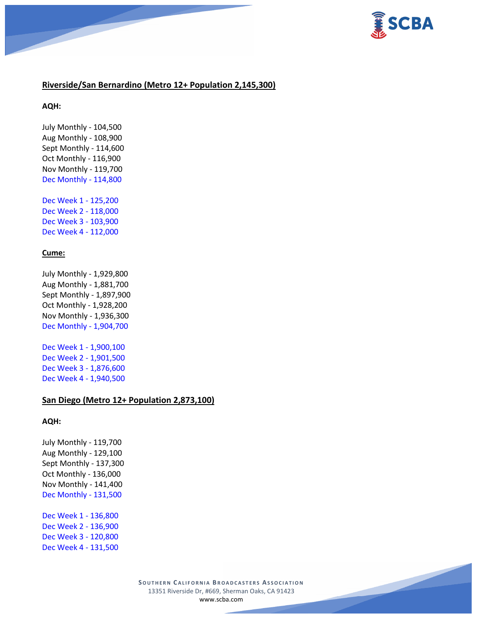

# **Riverside/San Bernardino (Metro 12+ Population 2,145,300)**

**AQH:**

July Monthly - 104,500 Aug Monthly - 108,900 Sept Monthly - 114,600 Oct Monthly - 116,900 Nov Monthly - 119,700 Dec Monthly - 114,800

Dec Week 1 - 125,200 Dec Week 2 - 118,000 Dec Week 3 - 103,900 Dec Week 4 - 112,000

### **Cume:**

July Monthly - 1,929,800 Aug Monthly - 1,881,700 Sept Monthly - 1,897,900 Oct Monthly - 1,928,200 Nov Monthly - 1,936,300 Dec Monthly - 1,904,700

Dec Week 1 - 1,900,100 Dec Week 2 - 1,901,500 Dec Week 3 - 1,876,600 Dec Week 4 - 1,940,500

# **San Diego (Metro 12+ Population 2,873,100)**

#### **AQH:**

July Monthly - 119,700 Aug Monthly - 129,100 Sept Monthly - 137,300 Oct Monthly - 136,000 Nov Monthly - 141,400 Dec Monthly - 131,500

Dec Week 1 - 136,800 Dec Week 2 - 136,900 Dec Week 3 - 120,800 Dec Week 4 - 131,500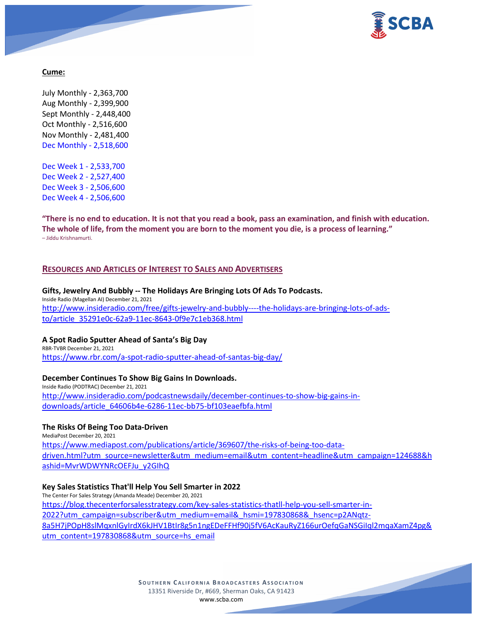

# **Cume:**

July Monthly - 2,363,700 Aug Monthly - 2,399,900 Sept Monthly - 2,448,400 Oct Monthly - 2,516,600 Nov Monthly - 2,481,400 Dec Monthly - 2,518,600

Dec Week 1 - 2,533,700 Dec Week 2 - 2,527,400 Dec Week 3 - 2,506,600 Dec Week 4 - 2,506,600

**"There is no end to education. It is not that you read a book, pass an examination, and finish with education. The whole of life, from the moment you are born to the moment you die, is a process of learning."** – Jiddu Krishnamurti.

### **RESOURCES AND ARTICLES OF INTEREST TO SALES AND ADVERTISERS**

**Gifts, Jewelry And Bubbly -- The Holidays Are Bringing Lots Of Ads To Podcasts.** Inside Radio (Magellan AI) December 21, 2021 [http://www.insideradio.com/free/gifts-jewelry-and-bubbly----the-holidays-are-bringing-lots-of-ads](http://www.insideradio.com/free/gifts-jewelry-and-bubbly----the-holidays-are-bringing-lots-of-ads-to/article_35291e0c-62a9-11ec-8643-0f9e7c1eb368.html)[to/article\\_35291e0c-62a9-11ec-8643-0f9e7c1eb368.html](http://www.insideradio.com/free/gifts-jewelry-and-bubbly----the-holidays-are-bringing-lots-of-ads-to/article_35291e0c-62a9-11ec-8643-0f9e7c1eb368.html)

#### **A Spot Radio Sputter Ahead of Santa's Big Day**

RBR-TVBR December 21, 2021 <https://www.rbr.com/a-spot-radio-sputter-ahead-of-santas-big-day/>

#### **December Continues To Show Big Gains In Downloads.**

Inside Radio (PODTRAC) December 21, 2021 [http://www.insideradio.com/podcastnewsdaily/december-continues-to-show-big-gains-in](http://www.insideradio.com/podcastnewsdaily/december-continues-to-show-big-gains-in-downloads/article_64606b4e-6286-11ec-bb75-bf103eaefbfa.html)[downloads/article\\_64606b4e-6286-11ec-bb75-bf103eaefbfa.html](http://www.insideradio.com/podcastnewsdaily/december-continues-to-show-big-gains-in-downloads/article_64606b4e-6286-11ec-bb75-bf103eaefbfa.html)

# **The Risks Of Being Too Data-Driven**

MediaPost December 20, 2021 [https://www.mediapost.com/publications/article/369607/the-risks-of-being-too-data](https://www.mediapost.com/publications/article/369607/the-risks-of-being-too-data-driven.html?utm_source=newsletter&utm_medium=email&utm_content=headline&utm_campaign=124688&hashid=MvrWDWYNRcOEFJu_y2GIhQ)[driven.html?utm\\_source=newsletter&utm\\_medium=email&utm\\_content=headline&utm\\_campaign=124688&h](https://www.mediapost.com/publications/article/369607/the-risks-of-being-too-data-driven.html?utm_source=newsletter&utm_medium=email&utm_content=headline&utm_campaign=124688&hashid=MvrWDWYNRcOEFJu_y2GIhQ) [ashid=MvrWDWYNRcOEFJu\\_y2GIhQ](https://www.mediapost.com/publications/article/369607/the-risks-of-being-too-data-driven.html?utm_source=newsletter&utm_medium=email&utm_content=headline&utm_campaign=124688&hashid=MvrWDWYNRcOEFJu_y2GIhQ)

#### **Key Sales Statistics That'll Help You Sell Smarter in 2022**

The Center For Sales Strategy (Amanda Meade) December 20, 2021 [https://blog.thecenterforsalesstrategy.com/key-sales-statistics-thatll-help-you-sell-smarter-in-](https://blog.thecenterforsalesstrategy.com/key-sales-statistics-thatll-help-you-sell-smarter-in-2022?utm_campaign=subscriber&utm_medium=email&_hsmi=197830868&_hsenc=p2ANqtz-8a5H7jPOpH8slMqxnlGyIrdX6kJHV1BtIr8g5n1ngEDeFFHf90j5fV6AcKauRyZ166urOefqGaNSGiIql2mqaXamZ4pg&utm_content=197830868&utm_source=hs_email)[2022?utm\\_campaign=subscriber&utm\\_medium=email&\\_hsmi=197830868&\\_hsenc=p2ANqtz-](https://blog.thecenterforsalesstrategy.com/key-sales-statistics-thatll-help-you-sell-smarter-in-2022?utm_campaign=subscriber&utm_medium=email&_hsmi=197830868&_hsenc=p2ANqtz-8a5H7jPOpH8slMqxnlGyIrdX6kJHV1BtIr8g5n1ngEDeFFHf90j5fV6AcKauRyZ166urOefqGaNSGiIql2mqaXamZ4pg&utm_content=197830868&utm_source=hs_email)[8a5H7jPOpH8slMqxnlGyIrdX6kJHV1BtIr8g5n1ngEDeFFHf90j5fV6AcKauRyZ166urOefqGaNSGiIql2mqaXamZ4pg&](https://blog.thecenterforsalesstrategy.com/key-sales-statistics-thatll-help-you-sell-smarter-in-2022?utm_campaign=subscriber&utm_medium=email&_hsmi=197830868&_hsenc=p2ANqtz-8a5H7jPOpH8slMqxnlGyIrdX6kJHV1BtIr8g5n1ngEDeFFHf90j5fV6AcKauRyZ166urOefqGaNSGiIql2mqaXamZ4pg&utm_content=197830868&utm_source=hs_email) [utm\\_content=197830868&utm\\_source=hs\\_email](https://blog.thecenterforsalesstrategy.com/key-sales-statistics-thatll-help-you-sell-smarter-in-2022?utm_campaign=subscriber&utm_medium=email&_hsmi=197830868&_hsenc=p2ANqtz-8a5H7jPOpH8slMqxnlGyIrdX6kJHV1BtIr8g5n1ngEDeFFHf90j5fV6AcKauRyZ166urOefqGaNSGiIql2mqaXamZ4pg&utm_content=197830868&utm_source=hs_email)

> **SOUTHERN C ALIFORNIA B ROADCASTERS ASSOCIATION** 13351 Riverside Dr, #669, Sherman Oaks, CA 91423 [www.scba.com](http://www.scba.com/)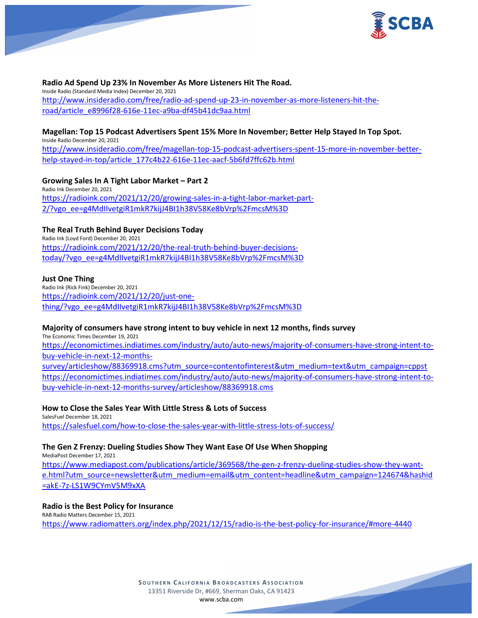

### **Radio Ad Spend Up 23% In November As More Listeners Hit The Road.**

Inside Radio (Standard Media Index) December 20, 2021 [http://www.insideradio.com/free/radio-ad-spend-up-23-in-november-as-more-listeners-hit-the](http://www.insideradio.com/free/radio-ad-spend-up-23-in-november-as-more-listeners-hit-the-road/article_e8996f28-616e-11ec-a9ba-df45b41dc9aa.html)[road/article\\_e8996f28-616e-11ec-a9ba-df45b41dc9aa.html](http://www.insideradio.com/free/radio-ad-spend-up-23-in-november-as-more-listeners-hit-the-road/article_e8996f28-616e-11ec-a9ba-df45b41dc9aa.html)

# **Magellan: Top 15 Podcast Advertisers Spent 15% More In November; Better Help Stayed In Top Spot.**

Inside Radio December 20, 2021 [http://www.insideradio.com/free/magellan-top-15-podcast-advertisers-spent-15-more-in-november-better](http://www.insideradio.com/free/magellan-top-15-podcast-advertisers-spent-15-more-in-november-better-help-stayed-in-top/article_177c4b22-616e-11ec-aacf-5b6fd7ffc62b.html)[help-stayed-in-top/article\\_177c4b22-616e-11ec-aacf-5b6fd7ffc62b.html](http://www.insideradio.com/free/magellan-top-15-podcast-advertisers-spent-15-more-in-november-better-help-stayed-in-top/article_177c4b22-616e-11ec-aacf-5b6fd7ffc62b.html)

**Growing Sales In A Tight Labor Market – Part 2** Radio Ink December 20, 2021

[https://radioink.com/2021/12/20/growing-sales-in-a-tight-labor-market-part-](https://radioink.com/2021/12/20/growing-sales-in-a-tight-labor-market-part-2/?vgo_ee=g4MdIIvetgiR1mkR7kijJ4BI1h38V58Ke8bVrp%2FmcsM%3D)[2/?vgo\\_ee=g4MdIIvetgiR1mkR7kijJ4BI1h38V58Ke8bVrp%2FmcsM%3D](https://radioink.com/2021/12/20/growing-sales-in-a-tight-labor-market-part-2/?vgo_ee=g4MdIIvetgiR1mkR7kijJ4BI1h38V58Ke8bVrp%2FmcsM%3D)

# **The Real Truth Behind Buyer Decisions Today**

Radio Ink (Loyd Ford) December 20, 2021 [https://radioink.com/2021/12/20/the-real-truth-behind-buyer-decisions](https://radioink.com/2021/12/20/the-real-truth-behind-buyer-decisions-today/?vgo_ee=g4MdIIvetgiR1mkR7kijJ4BI1h38V58Ke8bVrp%2FmcsM%3D)[today/?vgo\\_ee=g4MdIIvetgiR1mkR7kijJ4BI1h38V58Ke8bVrp%2FmcsM%3D](https://radioink.com/2021/12/20/the-real-truth-behind-buyer-decisions-today/?vgo_ee=g4MdIIvetgiR1mkR7kijJ4BI1h38V58Ke8bVrp%2FmcsM%3D)

# **Just One Thing**

Radio Ink (Rick Fink) December 20, 2021 [https://radioink.com/2021/12/20/just-one](https://radioink.com/2021/12/20/just-one-thing/?vgo_ee=g4MdIIvetgiR1mkR7kijJ4BI1h38V58Ke8bVrp%2FmcsM%3D)[thing/?vgo\\_ee=g4MdIIvetgiR1mkR7kijJ4BI1h38V58Ke8bVrp%2FmcsM%3D](https://radioink.com/2021/12/20/just-one-thing/?vgo_ee=g4MdIIvetgiR1mkR7kijJ4BI1h38V58Ke8bVrp%2FmcsM%3D)

# **Majority of consumers have strong intent to buy vehicle in next 12 months, finds survey**

The Economic Times December 19, 2021 [https://economictimes.indiatimes.com/industry/auto/auto-news/majority-of-consumers-have-strong-intent-to](https://economictimes.indiatimes.com/industry/auto/auto-news/majority-of-consumers-have-strong-intent-to-buy-vehicle-in-next-12-months-survey/articleshow/88369918.cms?utm_source=contentofinterest&utm_medium=text&utm_campaign=cppst)[buy-vehicle-in-next-12-months-](https://economictimes.indiatimes.com/industry/auto/auto-news/majority-of-consumers-have-strong-intent-to-buy-vehicle-in-next-12-months-survey/articleshow/88369918.cms?utm_source=contentofinterest&utm_medium=text&utm_campaign=cppst)

[survey/articleshow/88369918.cms?utm\\_source=contentofinterest&utm\\_medium=text&utm\\_campaign=cppst](https://economictimes.indiatimes.com/industry/auto/auto-news/majority-of-consumers-have-strong-intent-to-buy-vehicle-in-next-12-months-survey/articleshow/88369918.cms?utm_source=contentofinterest&utm_medium=text&utm_campaign=cppst) [https://economictimes.indiatimes.com/industry/auto/auto-news/majority-of-consumers-have-strong-intent-to](https://economictimes.indiatimes.com/industry/auto/auto-news/majority-of-consumers-have-strong-intent-to-buy-vehicle-in-next-12-months-survey/articleshow/88369918.cms)[buy-vehicle-in-next-12-months-survey/articleshow/88369918.cms](https://economictimes.indiatimes.com/industry/auto/auto-news/majority-of-consumers-have-strong-intent-to-buy-vehicle-in-next-12-months-survey/articleshow/88369918.cms)

**How to Close the Sales Year With Little Stress & Lots of Success** SalesFuel December 18, 2021

<https://salesfuel.com/how-to-close-the-sales-year-with-little-stress-lots-of-success/>

# **The Gen Z Frenzy: Dueling Studies Show They Want Ease Of Use When Shopping**

MediaPost December 17, 2021 [https://www.mediapost.com/publications/article/369568/the-gen-z-frenzy-dueling-studies-show-they-want](https://www.mediapost.com/publications/article/369568/the-gen-z-frenzy-dueling-studies-show-they-want-e.html?utm_source=newsletter&utm_medium=email&utm_content=headline&utm_campaign=124674&hashid=akE-7z-LS1W9CYmV5M9xXA)[e.html?utm\\_source=newsletter&utm\\_medium=email&utm\\_content=headline&utm\\_campaign=124674&hashid](https://www.mediapost.com/publications/article/369568/the-gen-z-frenzy-dueling-studies-show-they-want-e.html?utm_source=newsletter&utm_medium=email&utm_content=headline&utm_campaign=124674&hashid=akE-7z-LS1W9CYmV5M9xXA) [=akE-7z-LS1W9CYmV5M9xXA](https://www.mediapost.com/publications/article/369568/the-gen-z-frenzy-dueling-studies-show-they-want-e.html?utm_source=newsletter&utm_medium=email&utm_content=headline&utm_campaign=124674&hashid=akE-7z-LS1W9CYmV5M9xXA)

# **Radio is the Best Policy for Insurance**

RAB Radio Matters December 15, 2021 <https://www.radiomatters.org/index.php/2021/12/15/radio-is-the-best-policy-for-insurance/#more-4440>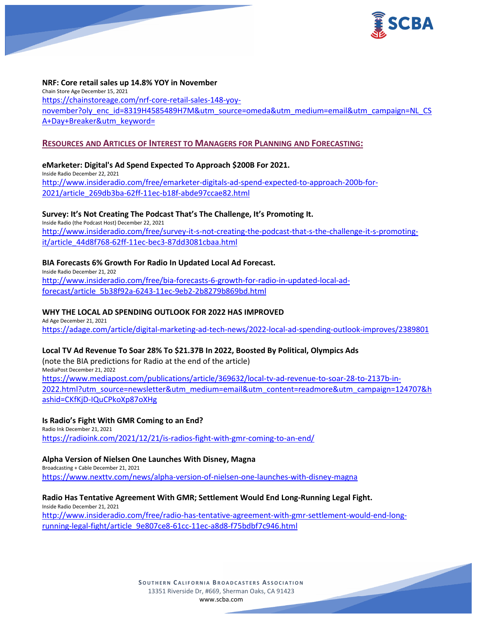

### **NRF: Core retail sales up 14.8% YOY in November**

Chain Store Age December 15, 2021 [https://chainstoreage.com/nrf-core-retail-sales-148-yoy](https://chainstoreage.com/nrf-core-retail-sales-148-yoy-november?oly_enc_id=8319H4585489H7M&utm_source=omeda&utm_medium=email&utm_campaign=NL_CSA+Day+Breaker&utm_keyword=)[november?oly\\_enc\\_id=8319H4585489H7M&utm\\_source=omeda&utm\\_medium=email&utm\\_campaign=NL\\_CS](https://chainstoreage.com/nrf-core-retail-sales-148-yoy-november?oly_enc_id=8319H4585489H7M&utm_source=omeda&utm_medium=email&utm_campaign=NL_CSA+Day+Breaker&utm_keyword=) [A+Day+Breaker&utm\\_keyword=](https://chainstoreage.com/nrf-core-retail-sales-148-yoy-november?oly_enc_id=8319H4585489H7M&utm_source=omeda&utm_medium=email&utm_campaign=NL_CSA+Day+Breaker&utm_keyword=)

### **RESOURCES AND ARTICLES OF INTEREST TO MANAGERS FOR PLANNING AND FORECASTING:**

# **eMarketer: Digital's Ad Spend Expected To Approach \$200B For 2021.**

Inside Radio December 22, 2021 [http://www.insideradio.com/free/emarketer-digitals-ad-spend-expected-to-approach-200b-for-](http://www.insideradio.com/free/emarketer-digitals-ad-spend-expected-to-approach-200b-for-2021/article_269db3ba-62ff-11ec-b18f-abde97ccae82.html)[2021/article\\_269db3ba-62ff-11ec-b18f-abde97ccae82.html](http://www.insideradio.com/free/emarketer-digitals-ad-spend-expected-to-approach-200b-for-2021/article_269db3ba-62ff-11ec-b18f-abde97ccae82.html)

#### **Survey: It's Not Creating The Podcast That's The Challenge, It's Promoting It.**

Inside Radio (the Podcast Host) December 22, 2021 [http://www.insideradio.com/free/survey-it-s-not-creating-the-podcast-that-s-the-challenge-it-s-promoting](http://www.insideradio.com/free/survey-it-s-not-creating-the-podcast-that-s-the-challenge-it-s-promoting-it/article_44d8f768-62ff-11ec-bec3-87dd3081cbaa.html)[it/article\\_44d8f768-62ff-11ec-bec3-87dd3081cbaa.html](http://www.insideradio.com/free/survey-it-s-not-creating-the-podcast-that-s-the-challenge-it-s-promoting-it/article_44d8f768-62ff-11ec-bec3-87dd3081cbaa.html)

### **BIA Forecasts 6% Growth For Radio In Updated Local Ad Forecast.**

Inside Radio December 21, 202 [http://www.insideradio.com/free/bia-forecasts-6-growth-for-radio-in-updated-local-ad](http://www.insideradio.com/free/bia-forecasts-6-growth-for-radio-in-updated-local-ad-forecast/article_5b38f92a-6243-11ec-9eb2-2b8279b869bd.html)[forecast/article\\_5b38f92a-6243-11ec-9eb2-2b8279b869bd.html](http://www.insideradio.com/free/bia-forecasts-6-growth-for-radio-in-updated-local-ad-forecast/article_5b38f92a-6243-11ec-9eb2-2b8279b869bd.html)

### **WHY THE LOCAL AD SPENDING OUTLOOK FOR 2022 HAS IMPROVED**

Ad Age December 21, 2021 <https://adage.com/article/digital-marketing-ad-tech-news/2022-local-ad-spending-outlook-improves/2389801>

# **Local TV Ad Revenue To Soar 28% To \$21.37B In 2022, Boosted By Political, Olympics Ads**

(note the BIA predictions for Radio at the end of the article) MediaPost December 21, 2022 [https://www.mediapost.com/publications/article/369632/local-tv-ad-revenue-to-soar-28-to-2137b-in-](https://www.mediapost.com/publications/article/369632/local-tv-ad-revenue-to-soar-28-to-2137b-in-2022.html?utm_source=newsletter&utm_medium=email&utm_content=readmore&utm_campaign=124707&hashid=CKfKjD-IQuCPkoXp87oXHg)[2022.html?utm\\_source=newsletter&utm\\_medium=email&utm\\_content=readmore&utm\\_campaign=124707&h](https://www.mediapost.com/publications/article/369632/local-tv-ad-revenue-to-soar-28-to-2137b-in-2022.html?utm_source=newsletter&utm_medium=email&utm_content=readmore&utm_campaign=124707&hashid=CKfKjD-IQuCPkoXp87oXHg) [ashid=CKfKjD-IQuCPkoXp87oXHg](https://www.mediapost.com/publications/article/369632/local-tv-ad-revenue-to-soar-28-to-2137b-in-2022.html?utm_source=newsletter&utm_medium=email&utm_content=readmore&utm_campaign=124707&hashid=CKfKjD-IQuCPkoXp87oXHg)

#### **Is Radio's Fight With GMR Coming to an End?**

Radio Ink December 21, 2021 <https://radioink.com/2021/12/21/is-radios-fight-with-gmr-coming-to-an-end/>

#### **Alpha Version of Nielsen One Launches With Disney, Magna**

Broadcasting + Cable December 21, 2021 <https://www.nexttv.com/news/alpha-version-of-nielsen-one-launches-with-disney-magna>

#### **Radio Has Tentative Agreement With GMR; Settlement Would End Long-Running Legal Fight.**

Inside Radio December 21, 2021 [http://www.insideradio.com/free/radio-has-tentative-agreement-with-gmr-settlement-would-end-long](http://www.insideradio.com/free/radio-has-tentative-agreement-with-gmr-settlement-would-end-long-running-legal-fight/article_9e807ce8-61cc-11ec-a8d8-f75bdbf7c946.html)[running-legal-fight/article\\_9e807ce8-61cc-11ec-a8d8-f75bdbf7c946.html](http://www.insideradio.com/free/radio-has-tentative-agreement-with-gmr-settlement-would-end-long-running-legal-fight/article_9e807ce8-61cc-11ec-a8d8-f75bdbf7c946.html)

> **SOUTHERN C ALIFORNIA B ROADCASTERS ASSOCIATION** 13351 Riverside Dr, #669, Sherman Oaks, CA 91423 [www.scba.com](http://www.scba.com/)